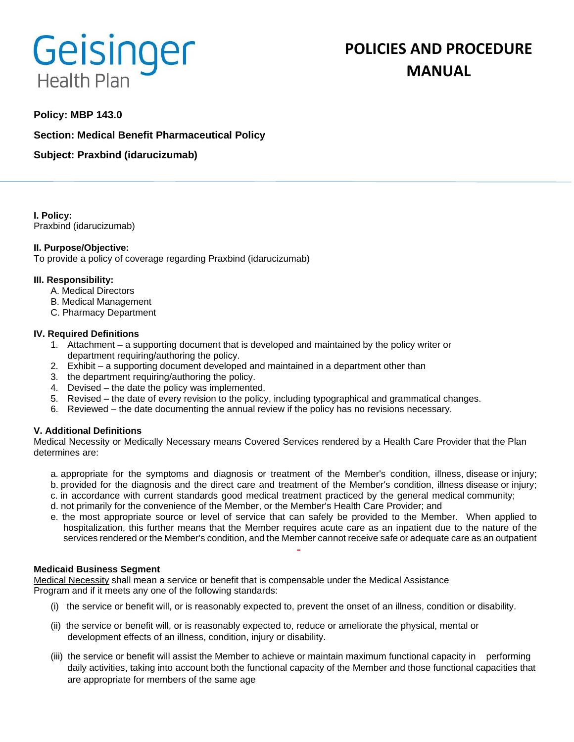# **Geisinger Health Plan**

# **POLICIES AND PROCEDURE MANUAL**

# **Policy: MBP 143.0**

**Section: Medical Benefit Pharmaceutical Policy**

**Subject: Praxbind (idarucizumab)**

**I. Policy:** Praxbind (idarucizumab)

## **II. Purpose/Objective:**

To provide a policy of coverage regarding Praxbind (idarucizumab)

#### **III. Responsibility:**

- A. Medical Directors
- B. Medical Management
- C. Pharmacy Department

#### **IV. Required Definitions**

- 1. Attachment a supporting document that is developed and maintained by the policy writer or department requiring/authoring the policy.
- 2. Exhibit a supporting document developed and maintained in a department other than
- 3. the department requiring/authoring the policy.
- 4. Devised the date the policy was implemented.
- 5. Revised the date of every revision to the policy, including typographical and grammatical changes.
- 6. Reviewed the date documenting the annual review if the policy has no revisions necessary.

## **V. Additional Definitions**

Medical Necessity or Medically Necessary means Covered Services rendered by a Health Care Provider that the Plan determines are:

- a. appropriate for the symptoms and diagnosis or treatment of the Member's condition, illness, disease or injury; b. provided for the diagnosis and the direct care and treatment of the Member's condition, illness disease or injury;
- c. in accordance with current standards good medical treatment practiced by the general medical community;
- d. not primarily for the convenience of the Member, or the Member's Health Care Provider; and
- e. the most appropriate source or level of service that can safely be provided to the Member. When applied to hospitalization, this further means that the Member requires acute care as an inpatient due to the nature of the services rendered or the Member's condition, and the Member cannot receive safe or adequate care as an outpatient

#### **Medicaid Business Segment**

Medical Necessity shall mean a service or benefit that is compensable under the Medical Assistance Program and if it meets any one of the following standards:

- (i) the service or benefit will, or is reasonably expected to, prevent the onset of an illness, condition or disability.
- (ii) the service or benefit will, or is reasonably expected to, reduce or ameliorate the physical, mental or development effects of an illness, condition, injury or disability.
- (iii) the service or benefit will assist the Member to achieve or maintain maximum functional capacity in performing daily activities, taking into account both the functional capacity of the Member and those functional capacities that are appropriate for members of the same age